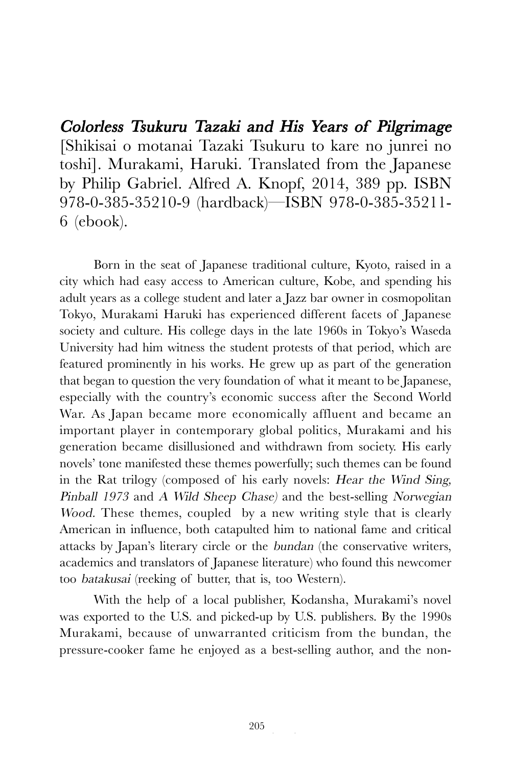Colorless Tsukuru Tazaki and His Years of Pilgrimage [Shikisai o motanai Tazaki Tsukuru to kare no junrei no toshi]. Murakami, Haruki. Translated from the Japanese by Philip Gabriel. Alfred A. Knopf, 2014, 389 pp. ISBN 978-0-385-35210-9 (hardback)—ISBN 978-0-385-35211- 6 (ebook).

Born in the seat of Japanese traditional culture, Kyoto, raised in a city which had easy access to American culture, Kobe, and spending his adult years as a college student and later a Jazz bar owner in cosmopolitan Tokyo, Murakami Haruki has experienced different facets of Japanese society and culture. His college days in the late 1960s in Tokyo's Waseda University had him witness the student protests of that period, which are featured prominently in his works. He grew up as part of the generation that began to question the very foundation of what it meant to be Japanese, especially with the country's economic success after the Second World War. As Japan became more economically affluent and became an important player in contemporary global politics, Murakami and his generation became disillusioned and withdrawn from society. His early novels' tone manifested these themes powerfully; such themes can be found in the Rat trilogy (composed of his early novels: Hear the Wind Sing, Pinball 1973 and A Wild Sheep Chase) and the best-selling Norwegian Wood. These themes, coupled by a new writing style that is clearly American in influence, both catapulted him to national fame and critical attacks by Japan's literary circle or the bundan (the conservative writers, academics and translators of Japanese literature) who found this newcomer too batakusai (reeking of butter, that is, too Western).

With the help of a local publisher, Kodansha, Murakami's novel was exported to the U.S. and picked-up by U.S. publishers. By the 1990s Murakami, because of unwarranted criticism from the bundan, the pressure-cooker fame he enjoyed as a best-selling author, and the non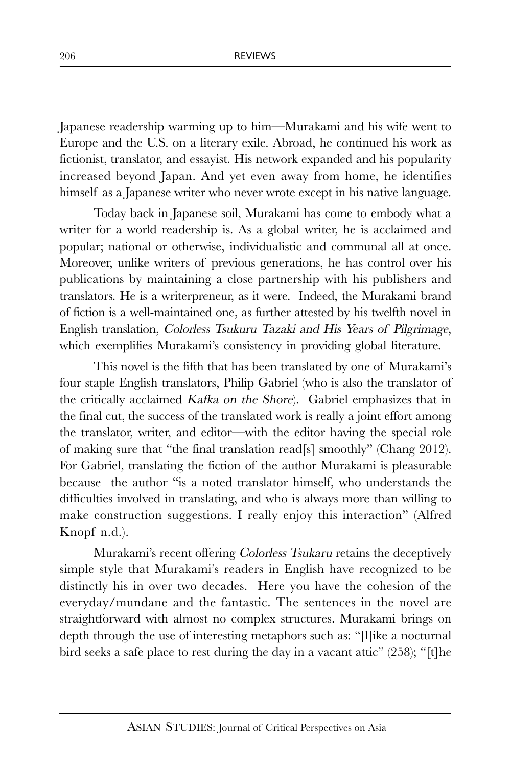Japanese readership warming up to him—Murakami and his wife went to Europe and the U.S. on a literary exile. Abroad, he continued his work as fictionist, translator, and essayist. His network expanded and his popularity increased beyond Japan. And yet even away from home, he identifies himself as a Japanese writer who never wrote except in his native language.

Today back in Japanese soil, Murakami has come to embody what a writer for a world readership is. As a global writer, he is acclaimed and popular; national or otherwise, individualistic and communal all at once. Moreover, unlike writers of previous generations, he has control over his publications by maintaining a close partnership with his publishers and translators. He is a writerpreneur, as it were. Indeed, the Murakami brand of fiction is a well-maintained one, as further attested by his twelfth novel in English translation, Colorless Tsukuru Tazaki and His Years of Pilgrimage, which exemplifies Murakami's consistency in providing global literature.

This novel is the fifth that has been translated by one of Murakami's four staple English translators, Philip Gabriel (who is also the translator of the critically acclaimed Kafka on the Shore). Gabriel emphasizes that in the final cut, the success of the translated work is really a joint effort among the translator, writer, and editor—with the editor having the special role of making sure that "the final translation read[s] smoothly" (Chang 2012). For Gabriel, translating the fiction of the author Murakami is pleasurable because the author "is a noted translator himself, who understands the difficulties involved in translating, and who is always more than willing to make construction suggestions. I really enjoy this interaction" (Alfred Knopf n.d.).

Murakami's recent offering Colorless Tsukaru retains the deceptively simple style that Murakami's readers in English have recognized to be distinctly his in over two decades. Here you have the cohesion of the everyday/mundane and the fantastic. The sentences in the novel are straightforward with almost no complex structures. Murakami brings on depth through the use of interesting metaphors such as: "[l]ike a nocturnal bird seeks a safe place to rest during the day in a vacant attic" (258); "[t]he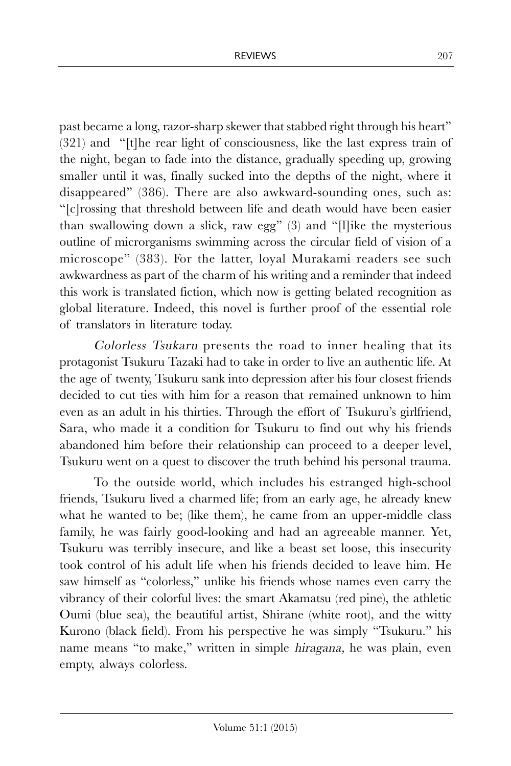past became a long, razor-sharp skewer that stabbed right through his heart" (321) and "[t]he rear light of consciousness, like the last express train of the night, began to fade into the distance, gradually speeding up, growing smaller until it was, finally sucked into the depths of the night, where it disappeared" (386). There are also awkward-sounding ones, such as: "[c]rossing that threshold between life and death would have been easier than swallowing down a slick, raw egg"  $(3)$  and "[l]ike the mysterious outline of microrganisms swimming across the circular field of vision of a microscope" (383). For the latter, loyal Murakami readers see such awkwardness as part of the charm of his writing and a reminder that indeed this work is translated fiction, which now is getting belated recognition as global literature. Indeed, this novel is further proof of the essential role of translators in literature today.

Colorless Tsukaru presents the road to inner healing that its protagonist Tsukuru Tazaki had to take in order to live an authentic life. At the age of twenty, Tsukuru sank into depression after his four closest friends decided to cut ties with him for a reason that remained unknown to him even as an adult in his thirties. Through the effort of Tsukuru's girlfriend, Sara, who made it a condition for Tsukuru to find out why his friends abandoned him before their relationship can proceed to a deeper level, Tsukuru went on a quest to discover the truth behind his personal trauma.

To the outside world, which includes his estranged high-school friends, Tsukuru lived a charmed life; from an early age, he already knew what he wanted to be; (like them), he came from an upper-middle class family, he was fairly good-looking and had an agreeable manner. Yet, Tsukuru was terribly insecure, and like a beast set loose, this insecurity took control of his adult life when his friends decided to leave him. He saw himself as "colorless," unlike his friends whose names even carry the vibrancy of their colorful lives: the smart Akamatsu (red pine), the athletic Oumi (blue sea), the beautiful artist, Shirane (white root), and the witty Kurono (black field). From his perspective he was simply "Tsukuru." his name means "to make," written in simple hiragana, he was plain, even empty, always colorless.